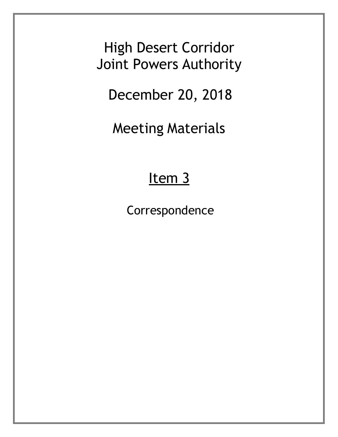High Desert Corridor Joint Powers Authority

December 20, 2018

Meeting Materials

### Item<sub>3</sub>

Correspondence